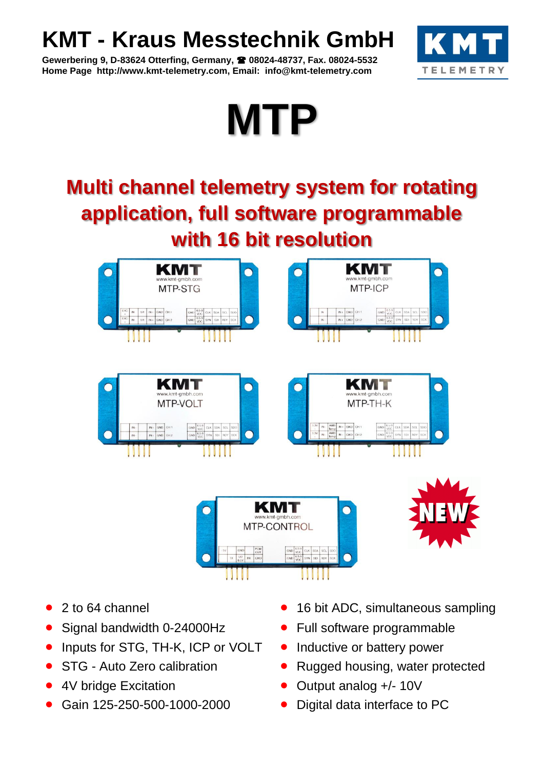# **KMT - Kraus Messtechnik GmbH**

**Gewerbering 9, D-83624 Otterfing, Germany, 08024-48737, Fax. 08024-5532 Home Page http://www.kmt-telemetry.com, Email: info@kmt-telemetry.com**





# **Multi channel telemetry system for rotating application, full software programmable with 16 bit resolution**



- ШШ Ш
- 

- 
- 
- Inputs for STG, TH-K, ICP or VOLT Inductive or battery power
- 
- 
- Gain 125-250-500-1000-2000 Digital data interface to PC
- 2 to 64 channel 16 bit ADC, simultaneous sampling
- Signal bandwidth 0-24000Hz Full software programmable
	-
- STG Auto Zero calibration Rugged housing, water protected
- 4V bridge Excitation Cutput analog +/- 10V
	-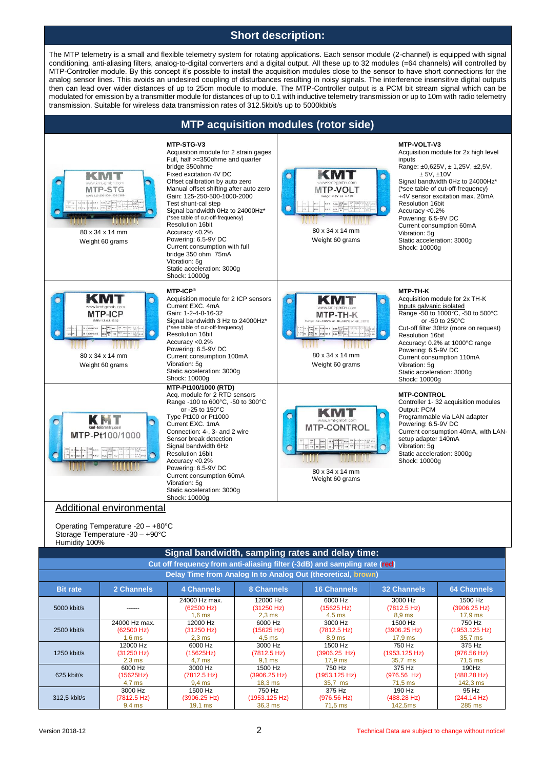## **Short description:**

The MTP telemetry is a small and flexible telemetry system for rotating applications. Each sensor module (2-channel) is equipped with signal conditioning, anti-aliasing filters, analog-to-digital converters and a digital output. All these up to 32 modules (=64 channels) will controlled by MTP-Controller module. By this concept it's possible to install the acquisition modules close to the sensor to have short connections for the analog sensor lines. This avoids an undesired coupling of disturbances resulting in noisy signals. The interference insensitive digital outputs then can lead over wider distances of up to 25cm module to module. The MTP-Controller output is a PCM bit stream signal which can be modulated for emission by a transmitter module for distances of up to 0.1 with inductive telemetry transmission or up to 10m with radio telemetry transmission. Suitable for wireless data transmission rates of 312.5kbit/s up to 5000kbit/s



#### Additional environmental

Operating Temperature -20 – +80°C Storage Temperature -30 – +90°C  $H$ umidity 100%

| <b>I</b> IUIIIIUILY TUU70<br>Signal bandwidth, sampling rates and delay time: |                                                       |                                                  |                                              |                                                |                                                |                                                |
|-------------------------------------------------------------------------------|-------------------------------------------------------|--------------------------------------------------|----------------------------------------------|------------------------------------------------|------------------------------------------------|------------------------------------------------|
| Cut off frequency from anti-aliasing filter (-3dB) and sampling rate (red)    |                                                       |                                                  |                                              |                                                |                                                |                                                |
| Delay Time from Analog In to Analog Out (theoretical, brown)                  |                                                       |                                                  |                                              |                                                |                                                |                                                |
| <b>Bit rate</b>                                                               | 2 Channels                                            | <b>4 Channels</b>                                | 8 Channels                                   | <b>16 Channels</b>                             | <b>32 Channels</b>                             | <b>64 Channels</b>                             |
| 5000 kbit/s                                                                   |                                                       | 24000 Hz max.<br>(62500 Hz)<br>1.6 <sub>ms</sub> | 12000 Hz<br>(31250 Hz)<br>$2.3 \text{ ms}$   | 6000 Hz<br>(15625 Hz)<br>$4.5$ ms              | 3000 Hz<br>(7812.5 Hz)<br>8,9 ms               | 1500 Hz<br>$(3906.25 \text{ Hz})$<br>$17.9$ ms |
| 2500 kbit/s                                                                   | 24000 Hz max.<br>(62500 Hz)<br>1.6 <sub>ms</sub>      | 12000 Hz<br>(31250 Hz)<br>$2.3 \text{ ms}$       | 6000 Hz<br>(15625 Hz)<br>$4.5 \text{ ms}$    | 3000 Hz<br>(7812.5 Hz)<br>8.9 <sub>ms</sub>    | 1500 Hz<br>$(3906.25 \text{ Hz})$<br>$17.9$ ms | 750 Hz<br>(1953.125 Hz)<br>35,7 ms             |
| 1250 kbit/s                                                                   | 12000 Hz<br>(31250 Hz)<br>$2.3 \text{ ms}$            | 6000 Hz<br>(15625Hz)<br>$4.7$ ms                 | 3000 Hz<br>(7812.5 Hz)<br>$9.1 \text{ ms}$   | 1500 Hz<br>$(3906.25 \text{ Hz})$<br>$17.9$ ms | 750 Hz<br>(1953.125 Hz)<br>35.7 ms             | 375 Hz<br>(976.56 Hz)<br>$71.5$ ms             |
| 625 kbit/s                                                                    | 6000 Hz<br>(15625Hz)<br>$4.7 \text{ ms}$              | 3000 Hz<br>$(7812.5 \text{ Hz})$<br>9.4 ms       | 1500 Hz<br>(3906.25 Hz)<br>$18.3 \text{ ms}$ | 750 Hz<br>(1953.125 Hz)<br>35.7 ms             | 375 Hz<br>$(976.56$ Hz)<br>$71.5$ ms           | 190Hz<br>$(488.28 \text{ Hz})$<br>142,3 ms     |
| 312,5 kbit/s                                                                  | 3000 Hz<br>$(7812.5 \text{ Hz})$<br>9.4 <sub>ms</sub> | 1500 Hz<br>$(3906.25 \text{ Hz})$<br>19,1 ms     | 750 Hz<br>(1953.125 Hz)<br>36,3 ms           | 375 Hz<br>$(976.56 \text{ Hz})$<br>$71.5$ ms   | 190 Hz<br>$(488.28 \text{ Hz})$<br>142,5ms     | 95 Hz<br>(244.14 Hz)<br>285 ms                 |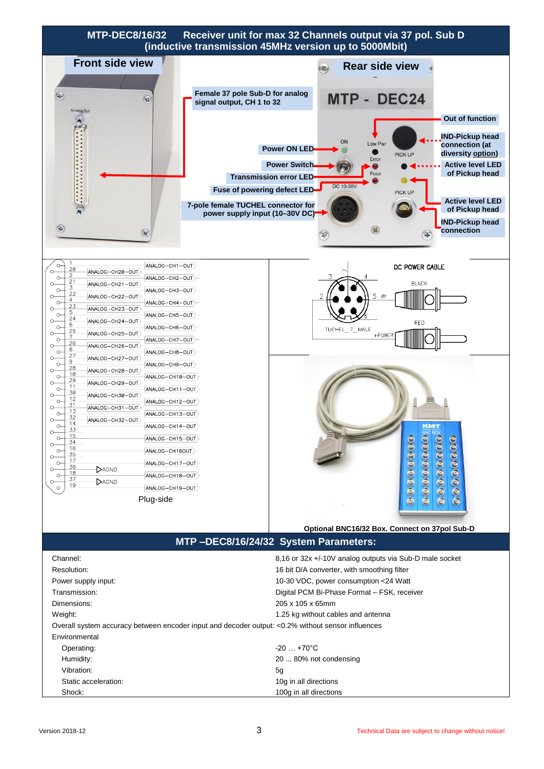